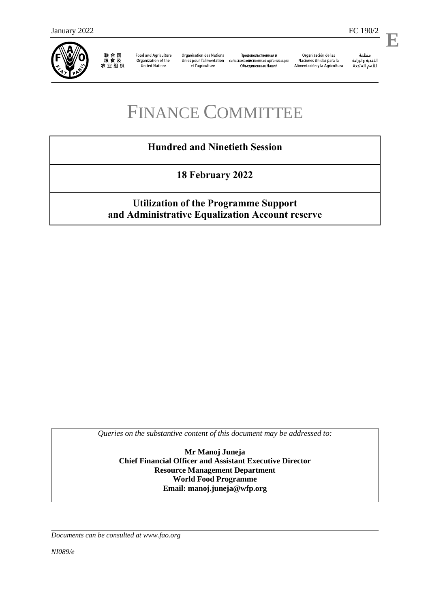

联合国<br>粮食及<br>农业组织

**Food and Agriculture** Organization of the United Nations

**Organisation des Nations** Unies pour l'alimentation et l'agriculture

Продовольственная и сельскохозяйственная организация Объединенных Наций

Organización de las Naciones Unidas para la Alimentación y la Agricultura منظمة

**E**

# FINANCE COMMITTEE

## **Hundred and Ninetieth Session**

**18 February 2022**

## **Utilization of the Programme Support and Administrative Equalization Account reserve**

*Queries on the substantive content of this document may be addressed to:*

**Mr Manoj Juneja Chief Financial Officer and Assistant Executive Director Resource Management Department World Food Programme Email: manoj.juneja@wfp.org**

*Documents can be consulted at [www.fao.org](http://www.fao.org/)*

*NI089/e*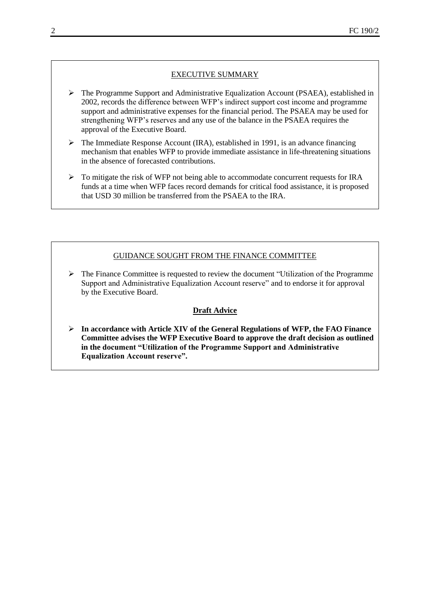#### EXECUTIVE SUMMARY

- ➢ The Programme Support and Administrative Equalization Account (PSAEA), established in 2002, records the difference between WFP's indirect support cost income and programme support and administrative expenses for the financial period. The PSAEA may be used for strengthening WFP's reserves and any use of the balance in the PSAEA requires the approval of the Executive Board.
- $\triangleright$  The Immediate Response Account (IRA), established in 1991, is an advance financing mechanism that enables WFP to provide immediate assistance in life-threatening situations in the absence of forecasted contributions.
- $\triangleright$  To mitigate the risk of WFP not being able to accommodate concurrent requests for IRA funds at a time when WFP faces record demands for critical food assistance, it is proposed that USD 30 million be transferred from the PSAEA to the IRA.

#### GUIDANCE SOUGHT FROM THE FINANCE COMMITTEE

➢ The Finance Committee is requested to review the document "Utilization of the Programme Support and Administrative Equalization Account reserve" and to endorse it for approval by the Executive Board.

#### **Draft Advice**

➢ **In accordance with Article XIV of the General Regulations of WFP, the FAO Finance Committee advises the WFP Executive Board to approve the draft decision as outlined in the document "Utilization of the Programme Support and Administrative Equalization Account reserve".**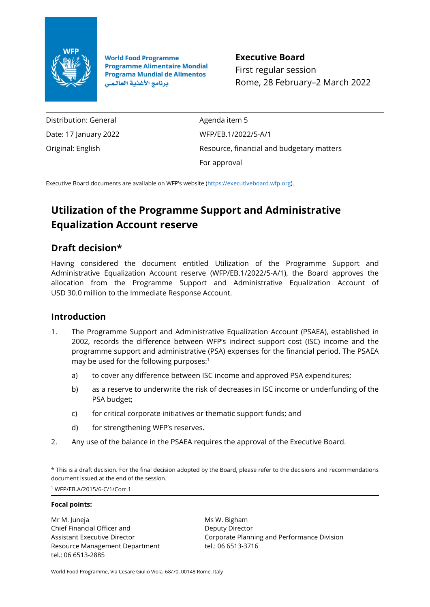

**World Food Programme Programme Alimentaire Mondial Programa Mundial de Alimentos** برنامج الأغذية العالمي

**Executive Board** First regular session Rome, 28 February–2 March 2022

Distribution: General Date: 17 January 2022 Original: English

Agenda item 5 WFP/EB.1/2022/5-A/1 Resource, financial and budgetary matters For approval

Executive Board documents are available on WFP's website ([https://executiveboard.wfp.org\)](https://executiveboard.wfp.org/).

## **Utilization of the Programme Support and Administrative Equalization Account reserve**

## **Draft decision\***

Having considered the document entitled Utilization of the Programme Support and Administrative Equalization Account reserve (WFP/EB.1/2022/5-A/1), the Board approves the allocation from the Programme Support and Administrative Equalization Account of USD 30.0 million to the Immediate Response Account.

## **Introduction**

- 1. The Programme Support and Administrative Equalization Account (PSAEA), established in 2002, records the difference between WFP's indirect support cost (ISC) income and the programme support and administrative (PSA) expenses for the financial period. The PSAEA may be used for the following purposes:<sup>1</sup>
	- a) to cover any difference between ISC income and approved PSA expenditures;
	- b) as a reserve to underwrite the risk of decreases in ISC income or underfunding of the PSA budget;
	- c) for critical corporate initiatives or thematic support funds; and
	- d) for strengthening WFP's reserves.
- 2. Any use of the balance in the PSAEA requires the approval of the Executive Board.

<sup>1</sup> WFP/EB.A/2015/6-C/1/Corr.1.

#### **Focal points:**

Mr M. Juneja Chief Financial Officer and Assistant Executive Director Resource Management Department tel.: 06 6513-2885

Ms W. Bigham Deputy Director Corporate Planning and Performance Division tel.: 06 6513-3716

World Food Programme, Via Cesare Giulio Viola, 68/70, 00148 Rome, Italy

<sup>\*</sup> This is a draft decision. For the final decision adopted by the Board, please refer to the decisions and recommendations document issued at the end of the session.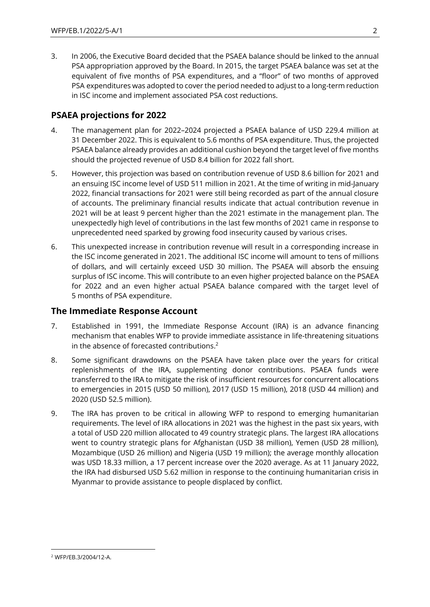3. In 2006, the Executive Board decided that the PSAEA balance should be linked to the annual PSA appropriation approved by the Board. In 2015, the target PSAEA balance was set at the equivalent of five months of PSA expenditures, and a "floor" of two months of approved PSA expenditures was adopted to cover the period needed to adjust to a long-term reduction in ISC income and implement associated PSA cost reductions.

## **PSAEA projections for 2022**

- 4. The management plan for 2022–2024 projected a PSAEA balance of USD 229.4 million at 31 December 2022. This is equivalent to 5.6 months of PSA expenditure. Thus, the projected PSAEA balance already provides an additional cushion beyond the target level of five months should the projected revenue of USD 8.4 billion for 2022 fall short.
- 5. However, this projection was based on contribution revenue of USD 8.6 billion for 2021 and an ensuing ISC income level of USD 511 million in 2021. At the time of writing in mid-January 2022, financial transactions for 2021 were still being recorded as part of the annual closure of accounts. The preliminary financial results indicate that actual contribution revenue in 2021 will be at least 9 percent higher than the 2021 estimate in the management plan. The unexpectedly high level of contributions in the last few months of 2021 came in response to unprecedented need sparked by growing food insecurity caused by various crises.
- 6. This unexpected increase in contribution revenue will result in a corresponding increase in the ISC income generated in 2021. The additional ISC income will amount to tens of millions of dollars, and will certainly exceed USD 30 million. The PSAEA will absorb the ensuing surplus of ISC income. This will contribute to an even higher projected balance on the PSAEA for 2022 and an even higher actual PSAEA balance compared with the target level of 5 months of PSA expenditure.

### **The Immediate Response Account**

- 7. Established in 1991, the Immediate Response Account (IRA) is an advance financing mechanism that enables WFP to provide immediate assistance in life-threatening situations in the absence of forecasted contributions.<sup>2</sup>
- 8. Some significant drawdowns on the PSAEA have taken place over the years for critical replenishments of the IRA, supplementing donor contributions. PSAEA funds were transferred to the IRA to mitigate the risk of insufficient resources for concurrent allocations to emergencies in 2015 (USD 50 million), 2017 (USD 15 million), 2018 (USD 44 million) and 2020 (USD 52.5 million).
- 9. The IRA has proven to be critical in allowing WFP to respond to emerging humanitarian requirements. The level of IRA allocations in 2021 was the highest in the past six years, with a total of USD 220 million allocated to 49 country strategic plans. The largest IRA allocations went to country strategic plans for Afghanistan (USD 38 million), Yemen (USD 28 million), Mozambique (USD 26 million) and Nigeria (USD 19 million); the average monthly allocation was USD 18.33 million, a 17 percent increase over the 2020 average. As at 11 January 2022, the IRA had disbursed USD 5.62 million in response to the continuing humanitarian crisis in Myanmar to provide assistance to people displaced by conflict.

<sup>2</sup> WFP/EB.3/2004/12-A.